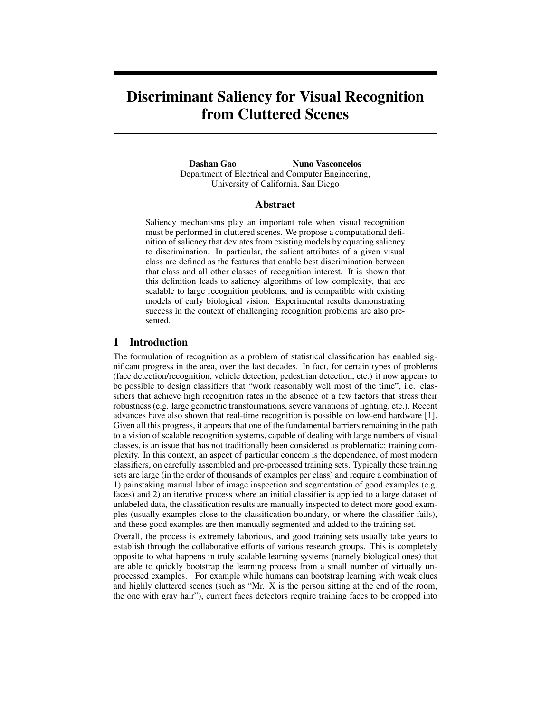# **Discriminant Saliency for Visual Recognition from Cluttered Scenes**

**Dashan Gao Nuno Vasconcelos** Department of Electrical and Computer Engineering, University of California, San Diego

## **Abstract**

Saliency mechanisms play an important role when visual recognition must be performed in cluttered scenes. We propose a computational definition of saliency that deviates from existing models by equating saliency to discrimination. In particular, the salient attributes of a given visual class are defined as the features that enable best discrimination between that class and all other classes of recognition interest. It is shown that this definition leads to saliency algorithms of low complexity, that are scalable to large recognition problems, and is compatible with existing models of early biological vision. Experimental results demonstrating success in the context of challenging recognition problems are also presented.

# **1 Introduction**

The formulation of recognition as a problem of statistical classification has enabled significant progress in the area, over the last decades. In fact, for certain types of problems (face detection/recognition, vehicle detection, pedestrian detection, etc.) it now appears to be possible to design classifiers that "work reasonably well most of the time", i.e. classifiers that achieve high recognition rates in the absence of a few factors that stress their robustness (e.g. large geometric transformations, severe variations of lighting, etc.). Recent advances have also shown that real-time recognition is possible on low-end hardware [1]. Given all this progress, it appears that one of the fundamental barriers remaining in the path to a vision of scalable recognition systems, capable of dealing with large numbers of visual classes, is an issue that has not traditionally been considered as problematic: training complexity. In this context, an aspect of particular concern is the dependence, of most modern classifiers, on carefully assembled and pre-processed training sets. Typically these training sets are large (in the order of thousands of examples per class) and require a combination of 1) painstaking manual labor of image inspection and segmentation of good examples (e.g. faces) and 2) an iterative process where an initial classifier is applied to a large dataset of unlabeled data, the classification results are manually inspected to detect more good examples (usually examples close to the classification boundary, or where the classifier fails), and these good examples are then manually segmented and added to the training set.

Overall, the process is extremely laborious, and good training sets usually take years to establish through the collaborative efforts of various research groups. This is completely opposite to what happens in truly scalable learning systems (namely biological ones) that are able to quickly bootstrap the learning process from a small number of virtually unprocessed examples. For example while humans can bootstrap learning with weak clues and highly cluttered scenes (such as "Mr. X is the person sitting at the end of the room, the one with gray hair"), current faces detectors require training faces to be cropped into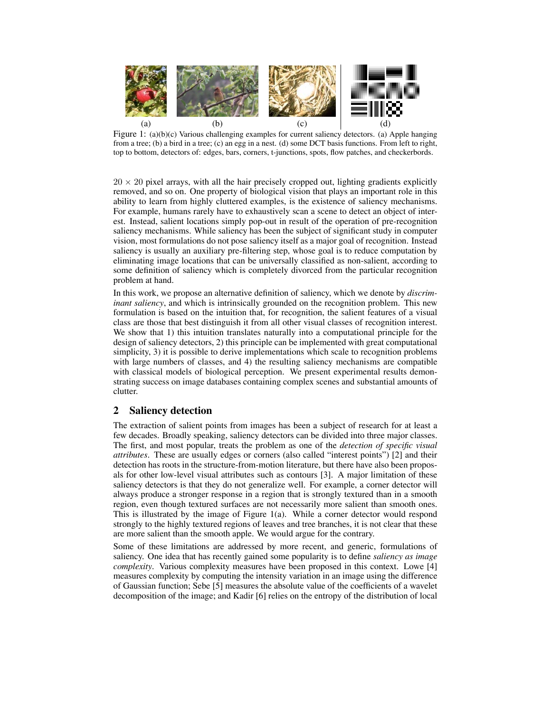

Figure 1: (a)(b)(c) Various challenging examples for current saliency detectors. (a) Apple hanging from a tree; (b) a bird in a tree; (c) an egg in a nest. (d) some DCT basis functions. From left to right, top to bottom, detectors of: edges, bars, corners, t-junctions, spots, flow patches, and checkerbords.

 $20 \times 20$  pixel arrays, with all the hair precisely cropped out, lighting gradients explicitly removed, and so on. One property of biological vision that plays an important role in this ability to learn from highly cluttered examples, is the existence of saliency mechanisms. For example, humans rarely have to exhaustively scan a scene to detect an object of interest. Instead, salient locations simply pop-out in result of the operation of pre-recognition saliency mechanisms. While saliency has been the subject of significant study in computer vision, most formulations do not pose saliency itself as a major goal of recognition. Instead saliency is usually an auxiliary pre-filtering step, whose goal is to reduce computation by eliminating image locations that can be universally classified as non-salient, according to some definition of saliency which is completely divorced from the particular recognition problem at hand.

In this work, we propose an alternative definition of saliency, which we denote by *discriminant saliency*, and which is intrinsically grounded on the recognition problem. This new formulation is based on the intuition that, for recognition, the salient features of a visual class are those that best distinguish it from all other visual classes of recognition interest. We show that 1) this intuition translates naturally into a computational principle for the design of saliency detectors, 2) this principle can be implemented with great computational simplicity, 3) it is possible to derive implementations which scale to recognition problems with large numbers of classes, and 4) the resulting saliency mechanisms are compatible with classical models of biological perception. We present experimental results demonstrating success on image databases containing complex scenes and substantial amounts of clutter.

# **2 Saliency detection**

The extraction of salient points from images has been a subject of research for at least a few decades. Broadly speaking, saliency detectors can be divided into three major classes. The first, and most popular, treats the problem as one of the *detection of specific visual attributes*. These are usually edges or corners (also called "interest points") [2] and their detection has roots in the structure-from-motion literature, but there have also been proposals for other low-level visual attributes such as contours [3]. A major limitation of these saliency detectors is that they do not generalize well. For example, a corner detector will always produce a stronger response in a region that is strongly textured than in a smooth region, even though textured surfaces are not necessarily more salient than smooth ones. This is illustrated by the image of Figure 1(a). While a corner detector would respond strongly to the highly textured regions of leaves and tree branches, it is not clear that these are more salient than the smooth apple. We would argue for the contrary.

Some of these limitations are addressed by more recent, and generic, formulations of saliency. One idea that has recently gained some popularity is to define *saliency as image complexity*. Various complexity measures have been proposed in this context. Lowe [4] measures complexity by computing the intensity variation in an image using the difference of Gaussian function; Sebe [5] measures the absolute value of the coefficients of a wavelet decomposition of the image; and Kadir [6] relies on the entropy of the distribution of local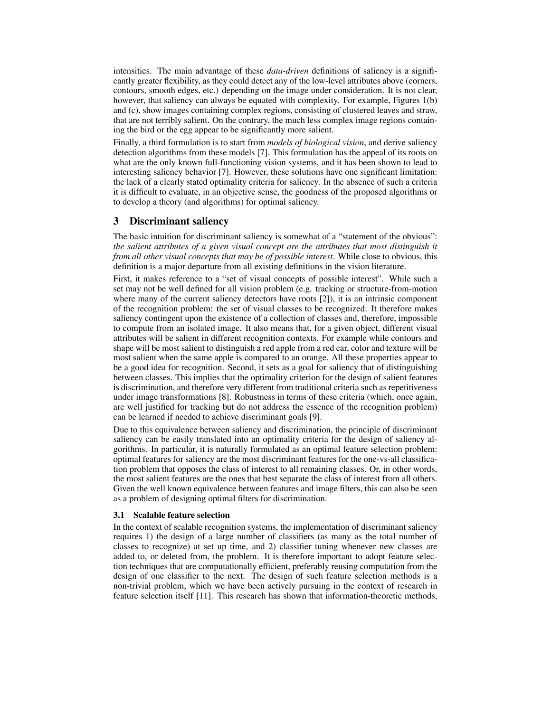intensities. The main advantage of these *data-driven* definitions of saliency is a significantly greater flexibility, as they could detect any of the low-level attributes above (corners, contours, smooth edges, etc.) depending on the image under consideration. It is not clear, however, that saliency can always be equated with complexity. For example, Figures 1(b) and (c), show images containing complex regions, consisting of clustered leaves and straw, that are not terribly salient. On the contrary, the much less complex image regions containing the bird or the egg appear to be significantly more salient.

Finally, a third formulation is to start from *models of biological vision*, and derive saliency detection algorithms from these models [7]. This formulation has the appeal of its roots on what are the only known full-functioning vision systems, and it has been shown to lead to interesting saliency behavior [7]. However, these solutions have one significant limitation: the lack of a clearly stated optimality criteria for saliency. In the absence of such a criteria it is difficult to evaluate, in an objective sense, the goodness of the proposed algorithms or to develop a theory (and algorithms) for optimal saliency.

## **3 Discriminant saliency**

The basic intuition for discriminant saliency is somewhat of a "statement of the obvious": *the salient attributes of a given visual concept are the attributes that most distinguish it from all other visual concepts that may be of possible interest*. While close to obvious, this definition is a major departure from all existing definitions in the vision literature.

First, it makes reference to a "set of visual concepts of possible interest". While such a set may not be well defined for all vision problem (e.g. tracking or structure-from-motion where many of the current saliency detectors have roots [2]), it is an intrinsic component of the recognition problem: the set of visual classes to be recognized. It therefore makes saliency contingent upon the existence of a collection of classes and, therefore, impossible to compute from an isolated image. It also means that, for a given object, different visual attributes will be salient in different recognition contexts. For example while contours and shape will be most salient to distinguish a red apple from a red car, color and texture will be most salient when the same apple is compared to an orange. All these properties appear to be a good idea for recognition. Second, it sets as a goal for saliency that of distinguishing between classes. This implies that the optimality criterion for the design of salient features is discrimination, and therefore very different from traditional criteria such as repetitiveness under image transformations [8]. Robustness in terms of these criteria (which, once again, are well justified for tracking but do not address the essence of the recognition problem) can be learned if needed to achieve discriminant goals [9].

Due to this equivalence between saliency and discrimination, the principle of discriminant saliency can be easily translated into an optimality criteria for the design of saliency algorithms. In particular, it is naturally formulated as an optimal feature selection problem: optimal features for saliency are the most discriminant features for the one-vs-all classification problem that opposes the class of interest to all remaining classes. Or, in other words, the most salient features are the ones that best separate the class of interest from all others. Given the well known equivalence between features and image filters, this can also be seen as a problem of designing optimal filters for discrimination.

#### **3.1 Scalable feature selection**

In the context of scalable recognition systems, the implementation of discriminant saliency requires 1) the design of a large number of classifiers (as many as the total number of classes to recognize) at set up time, and 2) classifier tuning whenever new classes are added to, or deleted from, the problem. It is therefore important to adopt feature selection techniques that are computationally efficient, preferably reusing computation from the design of one classifier to the next. The design of such feature selection methods is a non-trivial problem, which we have been actively pursuing in the context of research in feature selection itself [11]. This research has shown that information-theoretic methods,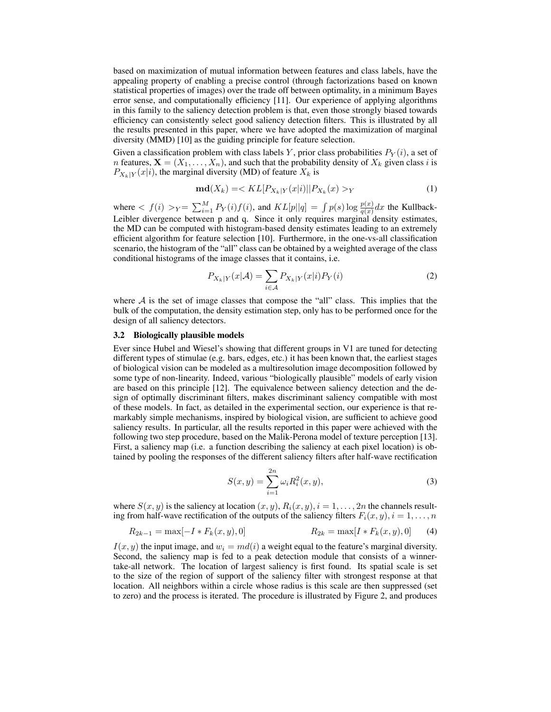based on maximization of mutual information between features and class labels, have the appealing property of enabling a precise control (through factorizations based on known statistical properties of images) over the trade off between optimality, in a minimum Bayes error sense, and computationally efficiency [11]. Our experience of applying algorithms in this family to the saliency detection problem is that, even those strongly biased towards efficiency can consistently select good saliency detection filters. This is illustrated by all the results presented in this paper, where we have adopted the maximization of marginal diversity (MMD) [10] as the guiding principle for feature selection.

Given a classification problem with class labels Y, prior class probabilities  $P_Y(i)$ , a set of *n* features,  $\mathbf{X} = (X_1, \ldots, X_n)$ , and such that the probability density of  $X_k$  given class *i* is  $P_{X_k|Y}(x|i)$ , the marginal diversity (MD) of feature  $X_k$  is

$$
\mathbf{md}(X_k) = \langle KL[P_{X_k|Y}(x|i) || P_{X_k}(x) >_Y \tag{1}
$$

where  $\langle f(i) \rangle_Y = \sum_{i=1}^M P_Y(i) f(i)$ , and  $KL[p||q] = \int p(s) \log \frac{p(x)}{q(x)} dx$  the Kullback-<br>Leibler diversence between n and  $s$ . Since it only requires marginal density estimates Leibler divergence between p and q. Since it only requires marginal density estimates, the MD can be computed with histogram-based density estimates leading to an extremely efficient algorithm for feature selection [10]. Furthermore, in the one-vs-all classification scenario, the histogram of the "all" class can be obtained by a weighted average of the class conditional histograms of the image classes that it contains, i.e.

$$
P_{X_k|Y}(x|\mathcal{A}) = \sum_{i \in \mathcal{A}} P_{X_k|Y}(x|i) P_Y(i)
$$
 (2)

where  $A$  is the set of image classes that compose the "all" class. This implies that the bulk of the computation, the density estimation step, only has to be performed once for the design of all saliency detectors.

### **3.2 Biologically plausible models**

Ever since Hubel and Wiesel's showing that different groups in V1 are tuned for detecting different types of stimulae (e.g. bars, edges, etc.) it has been known that, the earliest stages of biological vision can be modeled as a multiresolution image decomposition followed by some type of non-linearity. Indeed, various "biologically plausible" models of early vision are based on this principle [12]. The equivalence between saliency detection and the design of optimally discriminant filters, makes discriminant saliency compatible with most of these models. In fact, as detailed in the experimental section, our experience is that remarkably simple mechanisms, inspired by biological vision, are sufficient to achieve good saliency results. In particular, all the results reported in this paper were achieved with the following two step procedure, based on the Malik-Perona model of texture perception [13]. First, a saliency map (i.e. a function describing the saliency at each pixel location) is obtained by pooling the responses of the different saliency filters after half-wave rectification

$$
S(x,y) = \sum_{i=1}^{2n} \omega_i R_i^2(x,y),
$$
 (3)

where  $S(x, y)$  is the saliency at location  $(x, y)$ ,  $R_i(x, y)$ ,  $i = 1, \ldots, 2n$  the channels resulting from half-wave rectification of the outputs of the saliency filters  $F_i(x, y)$ ,  $i = 1, \ldots, n$ 

$$
R_{2k-1} = \max[-I * F_k(x, y), 0]
$$
  
 
$$
R_{2k} = \max[I * F_k(x, y), 0]
$$
 (4)

 $I(x, y)$  the input image, and  $w_i = md(i)$  a weight equal to the feature's marginal diversity. Second, the saliency map is fed to a peak detection module that consists of a winnertake-all network. The location of largest saliency is first found. Its spatial scale is set to the size of the region of support of the saliency filter with strongest response at that location. All neighbors within a circle whose radius is this scale are then suppressed (set to zero) and the process is iterated. The procedure is illustrated by Figure 2, and produces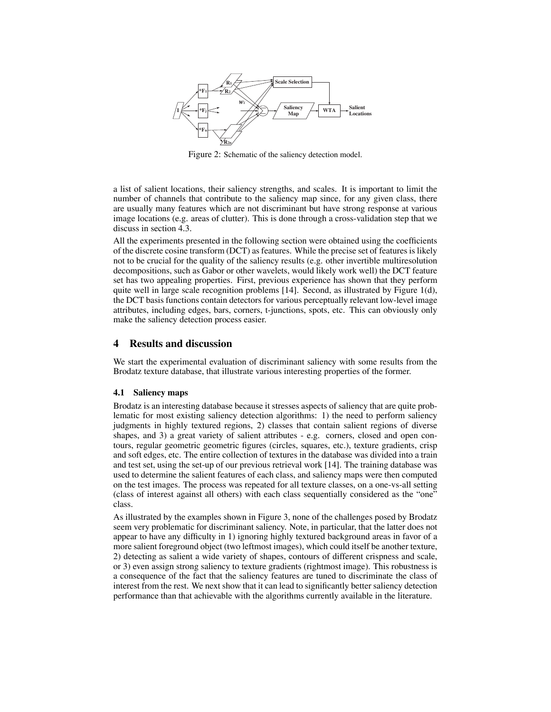

Figure 2: Schematic of the saliency detection model.

a list of salient locations, their saliency strengths, and scales. It is important to limit the number of channels that contribute to the saliency map since, for any given class, there are usually many features which are not discriminant but have strong response at various image locations (e.g. areas of clutter). This is done through a cross-validation step that we discuss in section 4.3.

All the experiments presented in the following section were obtained using the coefficients of the discrete cosine transform (DCT) as features. While the precise set of features is likely not to be crucial for the quality of the saliency results (e.g. other invertible multiresolution decompositions, such as Gabor or other wavelets, would likely work well) the DCT feature set has two appealing properties. First, previous experience has shown that they perform quite well in large scale recognition problems  $[14]$ . Second, as illustrated by Figure  $1(d)$ , the DCT basis functions contain detectors for various perceptually relevant low-level image attributes, including edges, bars, corners, t-junctions, spots, etc. This can obviously only make the saliency detection process easier.

## **4 Results and discussion**

We start the experimental evaluation of discriminant saliency with some results from the Brodatz texture database, that illustrate various interesting properties of the former.

#### **4.1 Saliency maps**

Brodatz is an interesting database because it stresses aspects of saliency that are quite problematic for most existing saliency detection algorithms: 1) the need to perform saliency judgments in highly textured regions, 2) classes that contain salient regions of diverse shapes, and 3) a great variety of salient attributes - e.g. corners, closed and open contours, regular geometric geometric figures (circles, squares, etc.), texture gradients, crisp and soft edges, etc. The entire collection of textures in the database was divided into a train and test set, using the set-up of our previous retrieval work [14]. The training database was used to determine the salient features of each class, and saliency maps were then computed on the test images. The process was repeated for all texture classes, on a one-vs-all setting (class of interest against all others) with each class sequentially considered as the "one" class.

As illustrated by the examples shown in Figure 3, none of the challenges posed by Brodatz seem very problematic for discriminant saliency. Note, in particular, that the latter does not appear to have any difficulty in 1) ignoring highly textured background areas in favor of a more salient foreground object (two leftmost images), which could itself be another texture, 2) detecting as salient a wide variety of shapes, contours of different crispness and scale, or 3) even assign strong saliency to texture gradients (rightmost image). This robustness is a consequence of the fact that the saliency features are tuned to discriminate the class of interest from the rest. We next show that it can lead to significantly better saliency detection performance than that achievable with the algorithms currently available in the literature.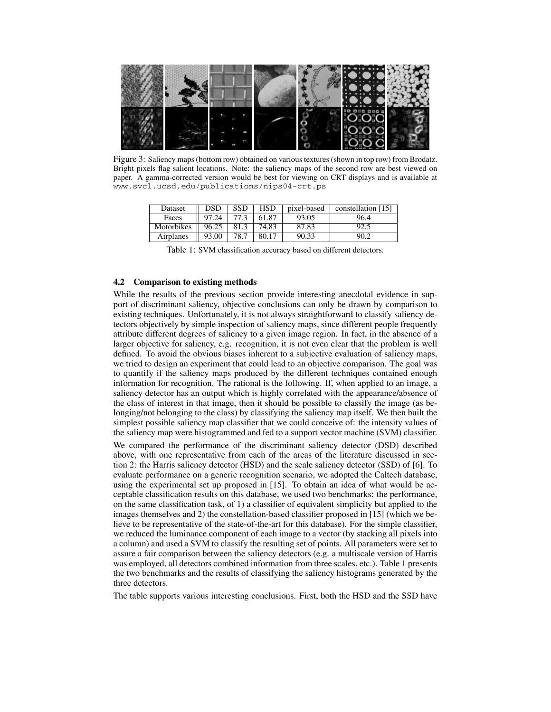

Figure 3: Saliency maps (bottom row) obtained on various textures (shown in top row) from Brodatz. Bright pixels flag salient locations. Note: the saliency maps of the second row are best viewed on paper. A gamma-corrected version would be best for viewing on CRT displays and is available at www.svcl.ucsd.edu/publications/nips04-crt.ps

| Dataset    | DSD   | SSD  | <b>HSD</b> | pixel-based | constellation [15] |
|------------|-------|------|------------|-------------|--------------------|
| Faces      | 97.24 | 77.3 | 61.87      | 93.05       | 96.4               |
| Motorbikes | 96.25 | 81.3 | 74.83      | 87.83       |                    |
| Airplanes  | 93.00 | 78.7 | 80.17      | 90.33       |                    |

Table 1: SVM classification accuracy based on different detectors.

## **4.2 Comparison to existing methods**

While the results of the previous section provide interesting anecdotal evidence in support of discriminant saliency, objective conclusions can only be drawn by comparison to existing techniques. Unfortunately, it is not always straightforward to classify saliency detectors objectively by simple inspection of saliency maps, since different people frequently attribute different degrees of saliency to a given image region. In fact, in the absence of a larger objective for saliency, e.g. recognition, it is not even clear that the problem is well defined. To avoid the obvious biases inherent to a subjective evaluation of saliency maps, we tried to design an experiment that could lead to an objective comparison. The goal was to quantify if the saliency maps produced by the different techniques contained enough information for recognition. The rational is the following. If, when applied to an image, a saliency detector has an output which is highly correlated with the appearance/absence of the class of interest in that image, then it should be possible to classify the image (as belonging/not belonging to the class) by classifying the saliency map itself. We then built the simplest possible saliency map classifier that we could conceive of: the intensity values of the saliency map were histogrammed and fed to a support vector machine (SVM) classifier.

We compared the performance of the discriminant saliency detector (DSD) described above, with one representative from each of the areas of the literature discussed in section 2: the Harris saliency detector (HSD) and the scale saliency detector (SSD) of [6]. To evaluate performance on a generic recognition scenario, we adopted the Caltech database, using the experimental set up proposed in [15]. To obtain an idea of what would be acceptable classification results on this database, we used two benchmarks: the performance, on the same classification task, of 1) a classifier of equivalent simplicity but applied to the images themselves and 2) the constellation-based classifier proposed in [15] (which we believe to be representative of the state-of-the-art for this database). For the simple classifier, we reduced the luminance component of each image to a vector (by stacking all pixels into a column) and used a SVM to classify the resulting set of points. All parameters were set to assure a fair comparison between the saliency detectors (e.g. a multiscale version of Harris was employed, all detectors combined information from three scales, etc.). Table 1 presents the two benchmarks and the results of classifying the saliency histograms generated by the three detectors.

The table supports various interesting conclusions. First, both the HSD and the SSD have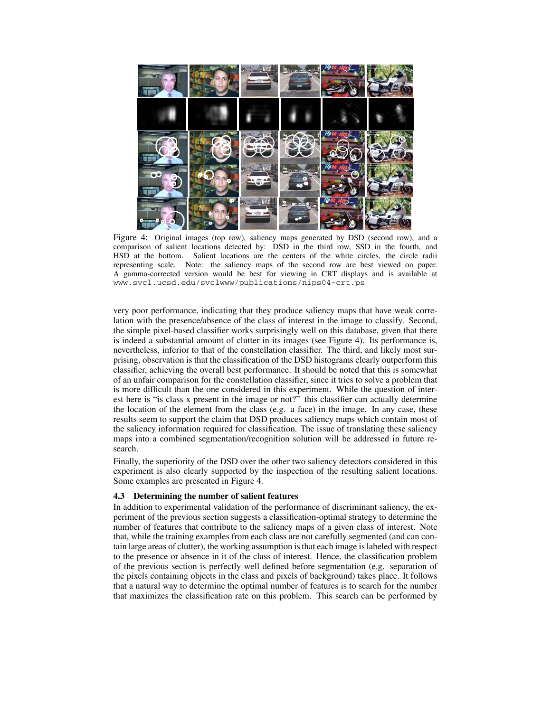

Figure 4: Original images (top row), saliency maps generated by DSD (second row), and a comparison of salient locations detected by: DSD in the third row, SSD in the fourth, and HSD at the bottom. Salient locations are the centers of the white circles, the circle radii representing scale. Note: the saliency maps of the second row are best viewed on paper. A gamma-corrected version would be best for viewing in CRT displays and is available at www.svcl.ucsd.edu/svclwww/publications/nips04-crt.ps

very poor performance, indicating that they produce saliency maps that have weak correlation with the presence/absence of the class of interest in the image to classify. Second, the simple pixel-based classifier works surprisingly well on this database, given that there is indeed a substantial amount of clutter in its images (see Figure 4). Its performance is, nevertheless, inferior to that of the constellation classifier. The third, and likely most surprising, observation is that the classification of the DSD histograms clearly outperform this classifier, achieving the overall best performance. It should be noted that this is somewhat of an unfair comparison for the constellation classifier, since it tries to solve a problem that is more difficult than the one considered in this experiment. While the question of interest here is "is class x present in the image or not?" this classifier can actually determine the location of the element from the class (e.g. a face) in the image. In any case, these results seem to support the claim that DSD produces saliency maps which contain most of the saliency information required for classification. The issue of translating these saliency maps into a combined segmentation/recognition solution will be addressed in future research.

Finally, the superiority of the DSD over the other two saliency detectors considered in this experiment is also clearly supported by the inspection of the resulting salient locations. Some examples are presented in Figure 4.

#### **4.3 Determining the number of salient features**

In addition to experimental validation of the performance of discriminant saliency, the experiment of the previous section suggests a classification-optimal strategy to determine the number of features that contribute to the saliency maps of a given class of interest. Note that, while the training examples from each class are not carefully segmented (and can contain large areas of clutter), the working assumption is that each image is labeled with respect to the presence or absence in it of the class of interest. Hence, the classification problem of the previous section is perfectly well defined before segmentation (e.g. separation of the pixels containing objects in the class and pixels of background) takes place. It follows that a natural way to determine the optimal number of features is to search for the number that maximizes the classification rate on this problem. This search can be performed by